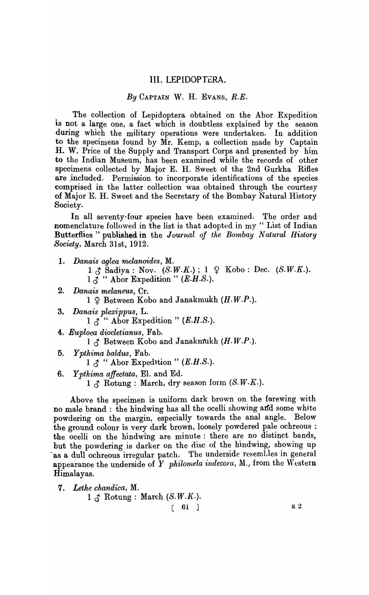## **Ill.** LEPIDOPTERA.

## *By* CAPTAIN W. H. EVANS, R.E.

. The collection of Lepidoptera obtained on the Abor Expedition is not a large one, a fact which is doubtless explained by the season during which the military operations were undertaken. In addition to the specimens found by Mr. Kemp, a collection made by Captain H. W. Price of the Supply and Transport Corps and presented by him to the Indian Museum, has been examined while the records of other specimens collected by Major E. H. Sweet of the 2nd Gurkha Rifles are jncluded. Permission to incorporate identifications of the species comprised in the latter collection was obtained through the courtesy of Major E. H. Sweet and the Secretary of the Bombay Natural History Society.

In all seventy-four species have been examined. The order and nomenclature followed in the list is that adopted in my " List of Indian Butterflies " published in the *Journal of the Bombay Natural History Society,* March 31st, 1912.

- 1. Danais aglea melanoides, M.
	- $1 \circ \text{S}$  Sadiya: Nov.  $(S.W.K.)$ ;  $1 \circ \text{Kobo}$ : Dec.  $(S.W.K.).$  $1 \lambda$  " Abor Expedition " (E.H.S.).
- 2. *Danais melaneus,* Cr.  $1 \nsubseteq$  Between Kobo and Janakmukh (H.W.P.).
- *3. Danais plexippus,* L.  $1 \uparrow$  " Abor Expedition" (E.H.S.).
- 4. *Euploea diocletianus,* Fab.

 $1 \circ$  Between Kobo and Janakmukh (H.W.P.).

*5. Ypthima baldus,* Fab.

 $1 \land$  " Abor Expedition " (E.H.S.).

6. Y *pthima affectata,* El. and Ed.

 $1 \land$  Rotung : March, dry season form  $(S.W.K.)$ .

Above the specimen is uniform dark brown on the forewing with no male brand: the hindwing has all the ocelli showing and some white powdering on the margin, especially towards the anal angle. Below the ground colour is very dark brown, loosely powdered pale ochreous: the ocelli on the hindwing are minute: there are no distinct bands, but the powdering is darker on the disc of the hindwing, showing up as a dull ochreous irregular patch. The underside resembles in general appearance the underside of  $Y$  *philomela indecora,* M., from the Western Himalayas .

*. 7. Lethe chandica,* M.

 $1 \circ \mathcal{B}$  Rotung : March (S.W.K.).

 $\begin{bmatrix} 61 \end{bmatrix}$  E 2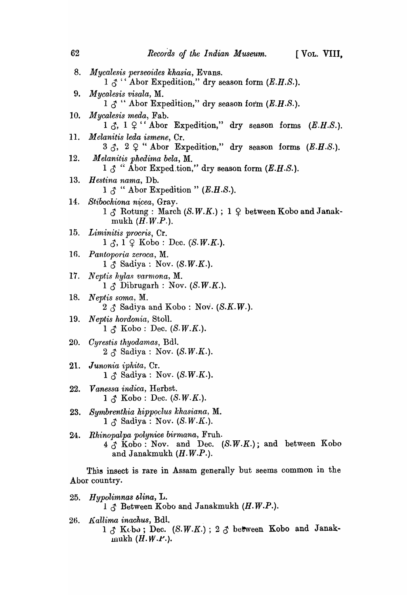| 62  | Records of the Indian Museum.<br>[VOL. VIII,                                                                                                           |
|-----|--------------------------------------------------------------------------------------------------------------------------------------------------------|
| 8.  | <i>Mycalesis perseoides khasia</i> , Evans.<br>$1 \circ \gamma$ " Abor Expedition," dry season form (E.H.S.).                                          |
| 9.  | Mycalesis visala, M.<br>$1 \nless \nless$ " Abor Expedition," dry season form $(E.H.S.).$                                                              |
| 10. | Mycalesis meda, Fab.                                                                                                                                   |
|     | 11. Melanitis leda ismene, Cr.<br>$3 \uparrow$ , $2 \uparrow$ "Abor Expedition," dry season forms (E.H.S.).                                            |
| 12. | Melanitis phedima bela, M.<br>$1 \uparrow$ " Abor Exped tion," dry season form $(E.H.S.).$                                                             |
| 13. | <i>Hestina nama</i> , Db.<br>$1 \upbeta$ " Abor Expedition " (E.H.S.).                                                                                 |
|     | 14. Stibochiona nicea, Gray.<br>$1 \text{ } \mathcal{J}$ Rotung : March (S.W.K.); $1 \text{ } \mathcal{Q}$ between Kobo and Janak-<br>mukh $(H.W.P.).$ |
|     | 15. Liminitis procris, Cr.<br>$1 \leq \dots \leq X$ obo : Dec. (S.W.K.).                                                                               |
|     | 16. Pantoporia zeroca, M.<br>$1 \uparrow$ Sadiya : Nov. (S.W.K.).                                                                                      |
| 17. | <i>Neptis hylas varmona</i> , M.<br>$1 \uparrow$ Dibrugarh : Nov. (S.W.K.).                                                                            |
| 18. | Neptis soma, M.<br>$2 \land$ Sadiya and Kobo : Nov. (S.K.W.).                                                                                          |
|     | 19. Neptis hordonia, Stoll.<br>$1 \mathcal{L}$ Kobo : Dec. (S.W.K.).                                                                                   |
|     | 20. Cyrestis thyodamas, Bdl.                                                                                                                           |

- $2 \text{ }\mathcal{S} \text{ }$  Sadiya: Nov. (S.W.K.). *21. Junonia iphita,* Cr.  $1 \uparrow$  Sadiya: Nov. (S.W.K.).
- *22. Vanessa indica,* Herbst.  $1 \leq$  Kobo: Dec. (S.W.K.).
- *23. Syrnbrenthia hipP9clus khasiana,* M.  $1 \land$  Sadiya : Nov. (S.W.K.).
- 24. Rhinopalpa polynice birmana, Fruh.  $4 \stackrel{?}{\circ}$  Kobo: Nov. and Dec. (S.W.K.); and between Kobo and Janakmukh (H.W.P.).

This insect is rare in Assam generally but seems common in the Abor country.

- *25. Hypolimnus 6lina,* L.  $1 \uparrow$  Between Kobo and Janakmukh (H.W.P.).
- *26. l(allima inachus,* Bdl.  $1 \text{ }\mathcal{J}$  Kebo; Dec. (S.W.K.);  $2 \text{ }\mathcal{J}$  between Kobo and Janakmukh  $(H.W.F.).$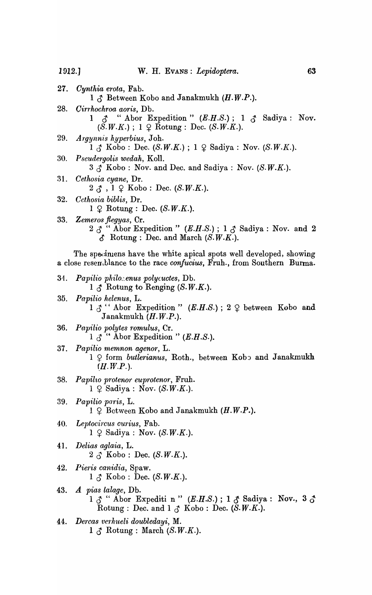1912.1

- 27. Cynthia erota, Fab.  $1 \uparrow$  Between Kobo and Janakmukh (H.W.P.). 28. Cirrhochroa aoris, Db.  $\Lambda$  " Abor Expedition " (E.H.S.); 1  $\Lambda$  Sadiya: Nov. 1.  $(S.W.K.)$ ; 1  $\varphi$  Rotung : Dec. (S.W.K.). 29. Argynnis hyperbius, Joh.  $1 \land$  Kobo: Dec. (S.W.K.);  $1 \circ$  Sadiya: Nov. (S.W.K.). 30. Pseudergolis wedah, Koll.  $3 \nless \n%$  Kobo: Nov. and Dec. and Sadiya: Nov. (S.W.K.). 31. Cethosia cyane, Dr.  $2 \land 1 \circ \text{Kobo}$ : Dec. (S.W.K.). 32. Cethosia biblis, Dr.  $1 \circ R$  Rotung : Dec. (S.W.K.). 33. Zemeros flegyas, Cr.  $2 \, \mathcal{J}$  " Abor Expedition " (E.H.S.); 1  $\mathcal{J}$  Sadiya: Nov. and 2  $\delta$  Rotung: Dec. and March  $(S.W.K.)$ . The specimens have the white apical spots well developed, showing a close resemblance to the race confucius, Fruh., from Southern Burma. Papilio philoxenus polycuctes, Db. 34.  $1 \uparrow$  Rotung to Renging (S.W.K.). 35. Papilio helenus, L.  $1 \n3$  " Abor Expedition " (E.H.S.);  $2 \n9$  between Kobo and Janakmukh  $(H.W.P.).$ Papilio polytes romulus, Cr. 36. 1  $\Lambda$ <sup>\*\*</sup> Abor Expedition " (E.H.S.). 37. Papilio memnon agenor, L. 1 Q form butlerianus, Roth., between Kobo and Janakmukh  $(H.W.P.).$ Papilio protenor euprotenor, Fruh. 38.  $1 \nsubseteq$  Sadiya : Nov. (S.W.K.). 39. Papilio paris, L.  $1 \oplus$  Between Kobo and Janakmukh  $(H.W.P.).$ 40. Leptocircus curius, Fab.  $1 \oplus$  Sadiya : Nov. (S.W.K.). 41. Delias aglaia, L.
	- $2 \uparrow$  Kobo : Dec. (S.W.K.).
- 42. Pieris canidia, Spaw.  $1 \uparrow$  Kobo : Dec. (S.W.K.).
- 43. A pias lalage, Db.  $1 \nightharpoonup$  " Abor Expediti n " (E.H.S.);  $1 \nightharpoonup$  Sadiya: Nov.,  $3 \nightharpoonup$  Rotung: Dec. and  $1 \nightharpoonup$  Kobo: Dec. (S.W.K.).
- Dercas verhueli doubledayi, M. 44.  $1 \uparrow$  Rotung : March (S.W.K.).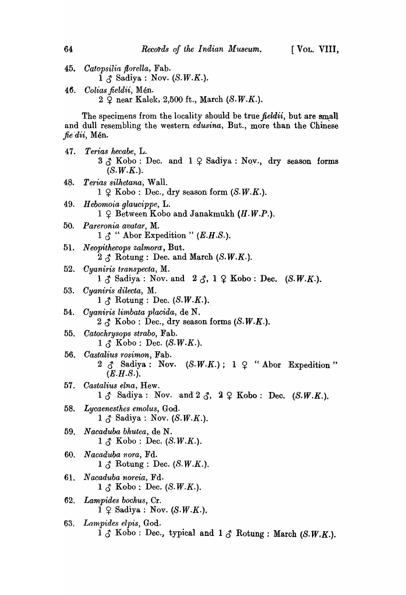- *45. Oatopsilia {lorella,* Fab.  $1 \nightharpoonup$  Sadiya: Nov. (S.W.K.).
- 4~. *Colias jieldii,* Men.  $2 \nsubseteq$  near Kalek, 2,500 ft., March (S.W.K.).

The specimens from the locality should be true *fieldii*, but are small and dull resembling the western *edusina,* But., more than the Chinese *fie'dii,* Men.

- *47. Terf,as hecabe,* L.  $3 \uparrow$  Kobo: Dec. and  $1 \uparrow$  Sadiya: Nov., dry season forms  $(S.W.K.).$ *48. Te1·ias silhetana,* Wall.  $1 \nsubseteq$  Kobo: Dec., dry season form  $(S.W.K.).$
- *49. H ebomoia glaucippe,* L.  $1 \nsubseteq$  Between Kobo and Janakmukh  $(H.W.P.).$
- *50. Pareronia avatar,* M.  $1 \land$  " Abor Expedition " (*E.H.S.*).
- 51. *Neopithecops zalmora:,* But.  $2 \land$  Rotung: Dec. and March (S.W.K.).
- *52. Cyaniris transpecta,* M.
	- $1 \uparrow$  Sadiya : Nov. and  $2 \uparrow$ ,  $1 \uparrow$  Kobo : Dec. (S.W.K.).
- *53. Oyaniris dilecta,* M.  $1 \uparrow$  Rotung: Dec. (S.W.K.).
- *54. Oyaniris limbata placida,* de N.  $2 \uparrow$  Kobo: Dec., dry season forms (S.W.K.).
- *55. Oatochrysops strabo,* Fab.  $1 \mathcal{L}$  Kobo: Dec. (S.W.K.).
- *56. Oastalius rosimon,* Fab.  $2 \text{ } \text{ } \text{ } \text{ } 3 \text{ } \text{ } 2 \text{ } \text{ } 3 \text{ } \text{ } 5 \text{ } \text{ } 5 \text{ } \text{ } 6 \text{ } \text{ } 7 \text{ } \text{ } 8 \text{ } \text{ } \text{ } 9 \text{ } \text{ } \text{ } 1 \text{ } \text{ } \text{ } \text{ } 2 \text{ } \text{ } \text{ } 4 \text{ } \text{ } 6 \text{ } \text{ } 1 \text{ } \text{ } 2 \text{ } \text{ } 5 \text{ } \text{ } 6 \text{ } \text{ } 1 \text{ } \text{ } 2 \$  $(E.H.S.).$
- *57. Oastalius elna,* Hew.  $1 \circ \delta$  Sadiya: Nov. and  $2 \circ \delta$ ,  $2 \circ \delta$  Kobo: Dec. (S.W.K.).
- *58. Lycaenesthes emolus,* God.  $1 \uparrow$  Sadiya: Nov. (S.W.K.).
- *59. N acaduba bhutea,* de N.  $1 \land$  Kobo: Dec. (S.W.K.).
- *60. Nacaduba nora,* Fd.  $1 \mathcal{L}$  Rotung: Dec. (S.W.K.).
- 61. *N acaduba noreia,* Fd.  $1 \uparrow$  Kobo: Dec. (S.W.K.).
- *62. Lampides bochus,* Cr.  $1 \oplus$  Sadiya : Nov. (S.W.K.).
- *63. Lam,pides elpis,* God.  $\overline{1}$   $\overline{0}$  Kobo: Dec., typical and  $1$   $\overline{0}$  Rotung: March (S.W.K.).